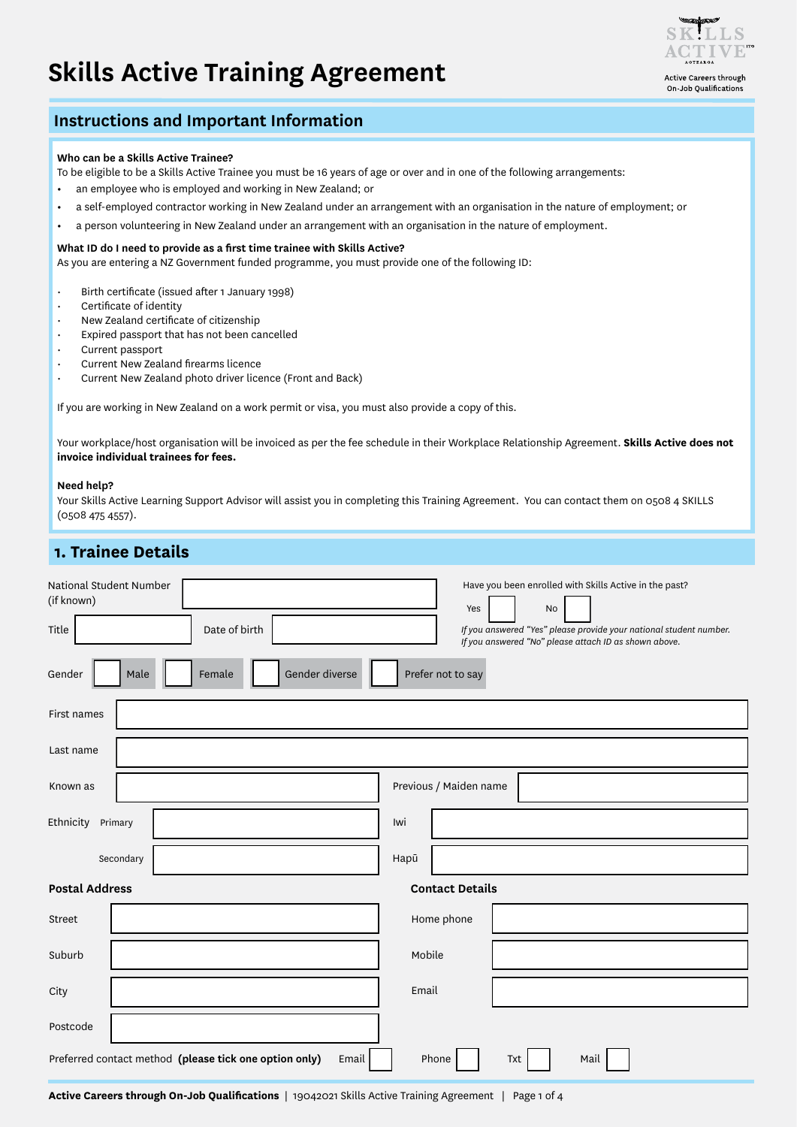# **Skills Active Training Agreement**



Active Careers through On-Job Oualifications

#### **Instructions and Important Information**

#### **Who can be a Skills Active Trainee?**

To be eligible to be a Skills Active Trainee you must be 16 years of age or over and in one of the following arrangements:

- **•** an employee who is employed and working in New Zealand; or
- **•** a self-employed contractor working in New Zealand under an arrangement with an organisation in the nature of employment; or
- **•** a person volunteering in New Zealand under an arrangement with an organisation in the nature of employment.

#### **What ID do I need to provide as a first time trainee with Skills Active?**

As you are entering a NZ Government funded programme, you must provide one of the following ID:

- Birth certificate (issued after 1 January 1998)
- Certificate of identity
- New Zealand certificate of citizenship
- Expired passport that has not been cancelled
- Current passport
- Current New Zealand firearms licence
- Current New Zealand photo driver licence (Front and Back)

If you are working in New Zealand on a work permit or visa, you must also provide a copy of this.

Your workplace/host organisation will be invoiced as per the fee schedule in their Workplace Relationship Agreement. **Skills Active does not invoice individual trainees for fees.**

#### **Need help?**

Your Skills Active Learning Support Advisor will assist you in completing this Training Agreement. You can contact them on 0508 4 SKILLS (0508 475 4557).

### **1. Trainee Details**

| National Student Number<br>(if known)<br>Title                                          | Date of birth                    |       | Have you been enrolled with Skills Active in the past?<br>Yes<br>No<br>If you answered "Yes" please provide your national student number. |  |  |
|-----------------------------------------------------------------------------------------|----------------------------------|-------|-------------------------------------------------------------------------------------------------------------------------------------------|--|--|
| Gender                                                                                  | Gender diverse<br>Female<br>Male |       | If you answered "No" please attach ID as shown above.<br>Prefer not to say                                                                |  |  |
| First names                                                                             |                                  |       |                                                                                                                                           |  |  |
| Last name                                                                               |                                  |       |                                                                                                                                           |  |  |
| Previous / Maiden name<br>Known as                                                      |                                  |       |                                                                                                                                           |  |  |
| Ethnicity Primary                                                                       |                                  | Iwi   |                                                                                                                                           |  |  |
| Secondary                                                                               |                                  | Hapū  |                                                                                                                                           |  |  |
| <b>Postal Address</b>                                                                   |                                  |       | <b>Contact Details</b>                                                                                                                    |  |  |
| Street                                                                                  |                                  |       | Home phone                                                                                                                                |  |  |
| Suburb                                                                                  |                                  |       | Mobile                                                                                                                                    |  |  |
| City                                                                                    |                                  | Email |                                                                                                                                           |  |  |
| Postcode                                                                                |                                  |       |                                                                                                                                           |  |  |
| Preferred contact method (please tick one option only)<br>Email<br>Phone<br>Mail<br>Txt |                                  |       |                                                                                                                                           |  |  |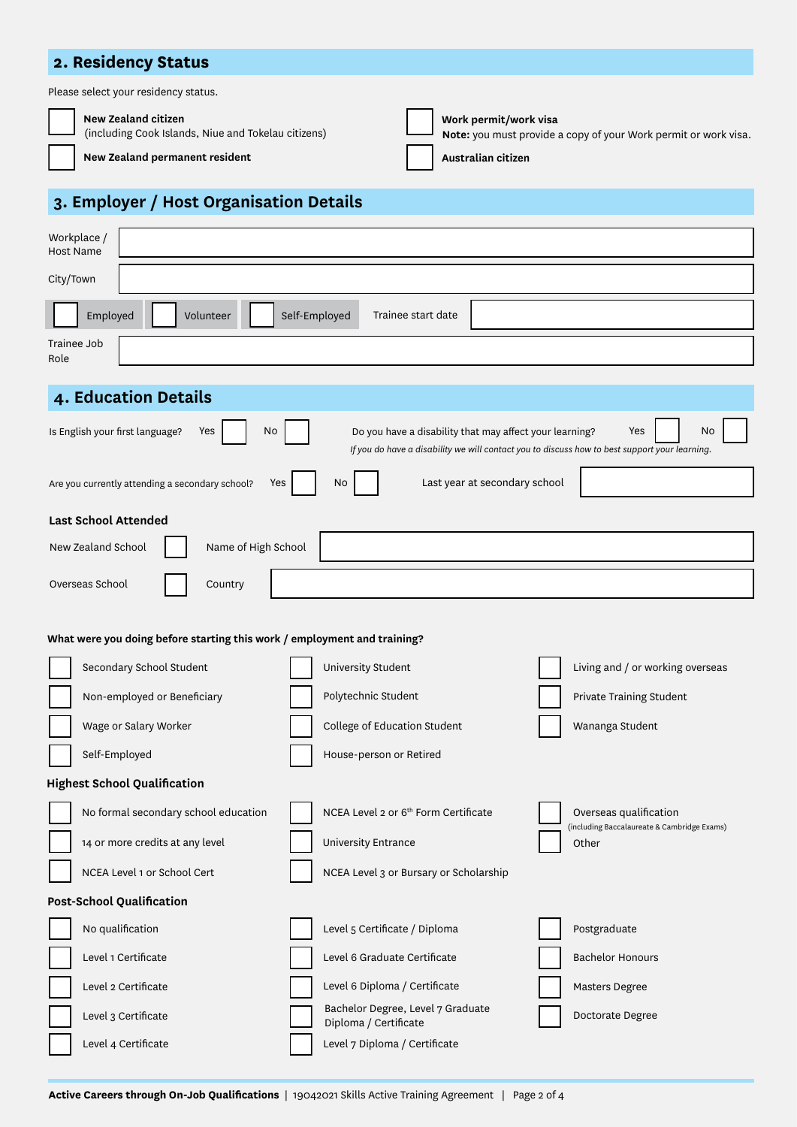### **2. Residency Status**

Please select your residency status.

#### **New Zealand citizen** (including Cook Islands, Niue and Tokelau citizens)

| Work permit/  |
|---------------|
| Note: vou mus |

**Work permit/work visa Note:** you must provide a copy of your Work permit or work visa.

**New Zealand permanent resident**

**Australian citizen**

## **3. Employer / Host Organisation Details**

| Workplace /<br><b>Host Name</b>                                                                                                                                                                                       |                                                                                                                           |  |  |  |  |  |
|-----------------------------------------------------------------------------------------------------------------------------------------------------------------------------------------------------------------------|---------------------------------------------------------------------------------------------------------------------------|--|--|--|--|--|
| City/Town                                                                                                                                                                                                             |                                                                                                                           |  |  |  |  |  |
| Employed<br>Self-Employed<br>Volunteer<br>Trainee start date                                                                                                                                                          |                                                                                                                           |  |  |  |  |  |
| Trainee Job<br>Role                                                                                                                                                                                                   |                                                                                                                           |  |  |  |  |  |
| 4. Education Details                                                                                                                                                                                                  |                                                                                                                           |  |  |  |  |  |
| Is English your first language?<br>No<br>Do you have a disability that may affect your learning?<br>No<br>Yes<br>Yes<br>If you do have a disability we will contact you to discuss how to best support your learning. |                                                                                                                           |  |  |  |  |  |
| Last year at secondary school<br>No<br>Are you currently attending a secondary school?<br>Yes                                                                                                                         |                                                                                                                           |  |  |  |  |  |
| <b>Last School Attended</b>                                                                                                                                                                                           |                                                                                                                           |  |  |  |  |  |
| Name of High School<br>New Zealand School                                                                                                                                                                             |                                                                                                                           |  |  |  |  |  |
| Overseas School<br>Country                                                                                                                                                                                            |                                                                                                                           |  |  |  |  |  |
|                                                                                                                                                                                                                       |                                                                                                                           |  |  |  |  |  |
| What were you doing before starting this work / employment and training?                                                                                                                                              |                                                                                                                           |  |  |  |  |  |
| Secondary School Student                                                                                                                                                                                              | Living and / or working overseas<br>University Student                                                                    |  |  |  |  |  |
| Non-employed or Beneficiary                                                                                                                                                                                           | Polytechnic Student<br>Private Training Student                                                                           |  |  |  |  |  |
| Wage or Salary Worker                                                                                                                                                                                                 | College of Education Student<br>Wananga Student                                                                           |  |  |  |  |  |
| Self-Employed                                                                                                                                                                                                         | House-person or Retired                                                                                                   |  |  |  |  |  |
| <b>Highest School Qualification</b>                                                                                                                                                                                   |                                                                                                                           |  |  |  |  |  |
| No formal secondary school education                                                                                                                                                                                  | NCEA Level 2 or 6 <sup>th</sup> Form Certificate<br>Overseas qualification<br>(including Baccalaureate & Cambridge Exams) |  |  |  |  |  |
| 14 or more credits at any level                                                                                                                                                                                       | University Entrance<br>Other                                                                                              |  |  |  |  |  |
| NCEA Level 1 or School Cert                                                                                                                                                                                           | NCEA Level 3 or Bursary or Scholarship                                                                                    |  |  |  |  |  |
| <b>Post-School Qualification</b>                                                                                                                                                                                      |                                                                                                                           |  |  |  |  |  |
| No qualification                                                                                                                                                                                                      | Level 5 Certificate / Diploma<br>Postgraduate                                                                             |  |  |  |  |  |
| Level 1 Certificate                                                                                                                                                                                                   | Level 6 Graduate Certificate<br><b>Bachelor Honours</b>                                                                   |  |  |  |  |  |
| Level 2 Certificate                                                                                                                                                                                                   | Level 6 Diploma / Certificate<br>Masters Degree                                                                           |  |  |  |  |  |
| Level 3 Certificate                                                                                                                                                                                                   | Bachelor Degree, Level 7 Graduate<br>Doctorate Degree<br>Diploma / Certificate                                            |  |  |  |  |  |
| Level 4 Certificate                                                                                                                                                                                                   | Level 7 Diploma / Certificate                                                                                             |  |  |  |  |  |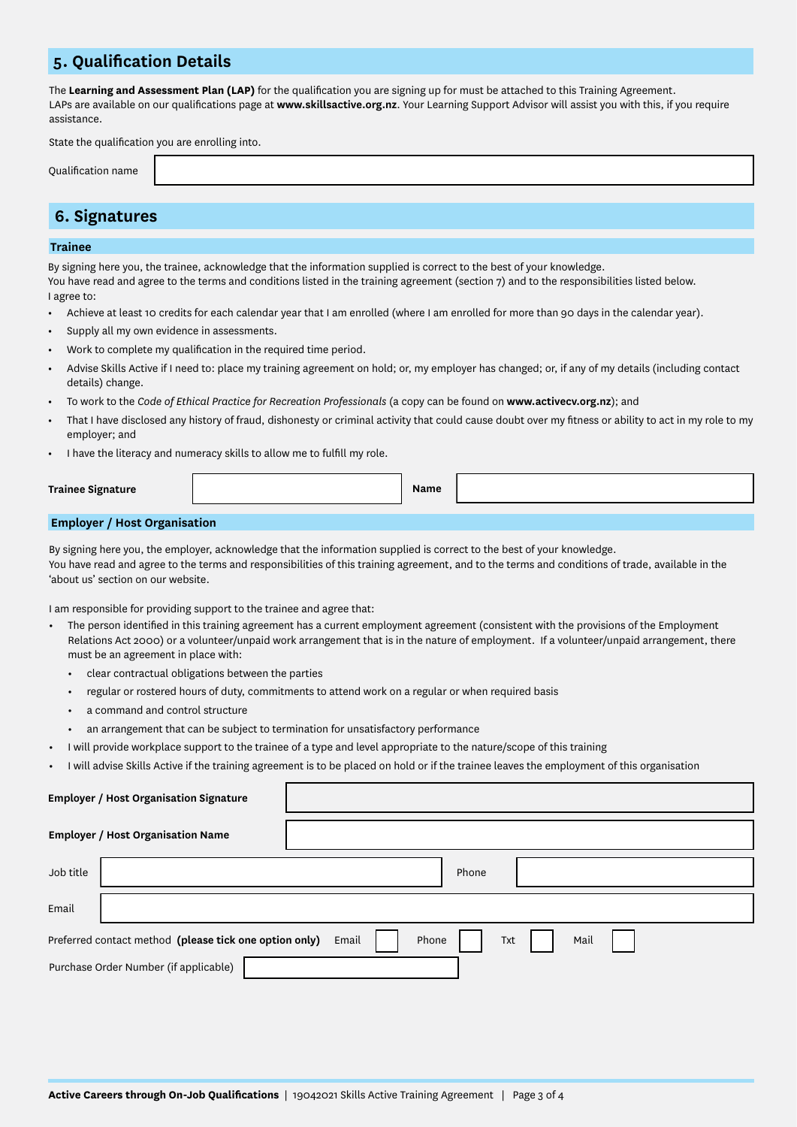### **5. Qualification Details**

The **Learning and Assessment Plan (LAP)** for the qualification you are signing up for must be attached to this Training Agreement. LAPs are available on our qualifications page at **www.skillsactive.org.nz**. Your Learning Support Advisor will assist you with this, if you require assistance.

State the qualification you are enrolling into.

Qualification name

### **6. Signatures**

#### **Trainee**

By signing here you, the trainee, acknowledge that the information supplied is correct to the best of your knowledge. You have read and agree to the terms and conditions listed in the training agreement (section 7) and to the responsibilities listed below. I agree to:

- **•** Achieve at least 10 credits for each calendar year that I am enrolled (where I am enrolled for more than 90 days in the calendar year).
- **•** Supply all my own evidence in assessments.
- **•** Work to complete my qualification in the required time period.
- **•** Advise Skills Active if I need to: place my training agreement on hold; or, my employer has changed; or, if any of my details (including contact details) change.
- **•** To work to the *Code of Ethical Practice for Recreation Professionals* (a copy can be found on **www.activecv.org.nz**); and
- That I have disclosed any history of fraud, dishonesty or criminal activity that could cause doubt over my fitness or ability to act in my role to my employer; and
- **•** I have the literacy and numeracy skills to allow me to fulfill my role.

| <b>Trainee Signature</b> |  | Name |  |  |  |
|--------------------------|--|------|--|--|--|
|                          |  |      |  |  |  |
|                          |  |      |  |  |  |

#### **Employer / Host Organisation**

By signing here you, the employer, acknowledge that the information supplied is correct to the best of your knowledge. You have read and agree to the terms and responsibilities of this training agreement, and to the terms and conditions of trade, available in the 'about us' section on our website.

I am responsible for providing support to the trainee and agree that:

- **•** The person identified in this training agreement has a current employment agreement (consistent with the provisions of the Employment Relations Act 2000) or a volunteer/unpaid work arrangement that is in the nature of employment. If a volunteer/unpaid arrangement, there must be an agreement in place with:
	- **•** clear contractual obligations between the parties
	- **•** regular or rostered hours of duty, commitments to attend work on a regular or when required basis
	- **•** a command and control structure
	- **•** an arrangement that can be subject to termination for unsatisfactory performance
	- **•** I will provide workplace support to the trainee of a type and level appropriate to the nature/scope of this training
- **•** I will advise Skills Active if the training agreement is to be placed on hold or if the trainee leaves the employment of this organisation

| <b>Employer / Host Organisation Signature</b>                                           |       |  |  |  |  |
|-----------------------------------------------------------------------------------------|-------|--|--|--|--|
| <b>Employer / Host Organisation Name</b>                                                |       |  |  |  |  |
| Job title                                                                               | Phone |  |  |  |  |
| Email                                                                                   |       |  |  |  |  |
| Phone<br>Mail<br>Email<br>Preferred contact method (please tick one option only)<br>Txt |       |  |  |  |  |
| Purchase Order Number (if applicable)                                                   |       |  |  |  |  |
|                                                                                         |       |  |  |  |  |